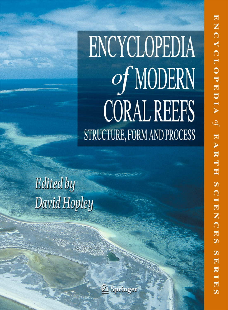# **ENCYCLOPEDIA** of MODERN **CORAL REEFS** STRUCTURE, FORM AND PROCESS

Edited by David Hopley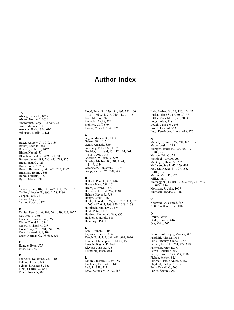## Author Index

#### A

Abbey, Elizabeth, 1058 Abram, Nerilie J., 1034 Andréfouët, Serge, 102, 906, 920 Aretz, Markus, 190 Aronson, Richard B., 610 Atkinson, Marlin J., 181

#### B

Baker, Andrew C., 1070, 1189 Barber, Todd R., 844 Beaman, Robin J., 1067 Biribo, Naomi, 51 Blanchon, Paul, 77, 469, 621, 683 Bowen, James, 193, 236, 645, 798, 827 Braga, Juan C., 423 Brock, John C., 785 Brown, Barbara E., 348, 451, 707, 1187 Brückner, Helmut, 368 Burke, Lauretta, 918 Byrne, Maria, 358

#### C

Cabioch, Guy, 102, 373, 422, 717, 822, 1133 Collins, Lindsay B., 896, 1128, 1180 Copper, Paul, 94 Cortés, Jorge, 351 Cuffey, Roger J., 172

#### D

Davies, Peter J., 40, 301, 504, 539, 869, 1027 Day, Jon C., 230 Dinsdale, Elizabeth A., 697 Dixon, David J., 1086 Dodge, Richard E., 958 Done, Terry, 261, 281, 594, 1092 Drew, Edward, 535, 1091 Duke, Norman C., 96, 653, 655

#### E

Edinger, Evan, 575 Enos, Paul, 85

#### F

Fabricius, Katharina, 722, 740 Fallon, Stewart, 829 Feingold, Joshua S., 365 Finkl, Charles W., 846 Flint, Elizabeth, 700

Flood, Peter, 84, 139, 191, 193, 321, 406, 427, 776, 854, 915, 940, 1124, 1143 Ford, Murray, 992 Freiwald, André, 225 Frohlich, Cliff, 679 Furnas, Miles J., 934, 1125

#### G

Gagan, Michael K., 1034 Geister, Jörn, 1171 Genin, Amatzia, 839 Ginsburg, Robert N., 1137 Gischler, Eberhard, 15, 112, 164, 561, 586, 1005, 1143 Goodwin, William B., 889 Gourlay, Michael R., 601, 1144, 1149, 1154 Greenstein, Benjamin J., 1076 Grigg, Richard W., 298, 549

#### $\bf H$

Hallock, Pamela, 415, 416 Harvey, Nick, 299, 1014 Hearn, Clifford J., 563 Heatwole, Harold, 256, 1138 Helmle, Kevin P., 958 Hongo, Chuki, 966 Hopley, David, 13, 97, 210, 237, 303, 325, 503, 617, 647, 798, 850, 1028, 1138 Hornbach, Matthew J., 679 Houk, Peter, 1138 Hubbard, Dennis K., 338, 856 Hudson, J. Harold, 889 Hutchings, Pat, 139

#### K

Kan, Hironobu, 940 Kayanne, Hajime, 966 Kench, Paul, 359, 639, 648, 994, 1096 Kendall, Christopher G. St. C., 193 Kikuchi, Ruy K. P., 168 Kleypas, Joan A., 733 Krumholz, Jason, 844

### L

Laborel, Jacques L., 39, 156 Lambeck, Kurt, 491, 1140 Leal, José H., 712 Leão, Zelinda M. A. N., 168 Lidz, Barbara H., 16, 180, 406, 821 Littler, Diane S., 18, 20, 30, 38 Littler, Mark M., 18, 20, 30, 38 Logan, Alan, 118 Lough, Janice M., 198 Lovell, Edward, 553 Lugo-Fernández, Alexis, 613, 876

#### M

Macintyre, Ian G., 97, 691, 855, 1052 Madin, Joshua, 218 Maragos, James E., 123, 380, 391, 700, 753 Matson, Eric G., 294 Maxfield, Barbara, 700 McGregor, Helen V., 777 McLaren, Sue J., 47, 179, 404 McLean, Roger, 47, 107, 165, 405, 812 Merlin, Mark D., 973 Miller, Ian, 1 Montaggioni, Lucien F., 229, 648, 713, 933, 1073, 1184 Morrison, R. John, 1019 Murdoch, Thaddeus, 118

#### N

Neumann, A. Conrad, 855 Nott, Jonathan, 165, 1016

#### $\bf{O}$

Obura, David, 9 Ohde, Shigeru, 446 Ota, Yoko, 562

#### P

Palaseanu-Lovejoy, Monica, 785 Pandolfi, John M., 554 Paris-Limouzy, Claire B., 881 Parnell, Kevin E., 254, 427, 608 Patterson, Mark R., 71 Perrin, Christine, 309 Perry, Chris T., 185, 558, 1110 Pichon, Michel, 815 Pirazzoli, Paolo Antonio, 167 Playford, Phillip E., 305 Potts, Donald C., 700 Purkis, Samuel, 790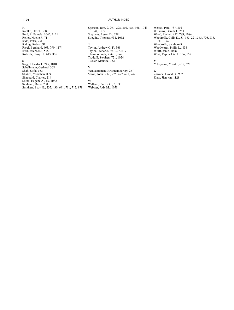#### R

Radtke, Ulrich, 368 Reid, R. Pamela, 1045, 1121 Relles, Noelle J., 71 Ridd, Peter, 931 Riding, Robert, 911 Riegl, Bernhard, 663, 790, 1174 Risk, Michael J., 575 Roberts, Harry H., 613, 876

### S

Sarg, J. Fredrick, 745, 1010 Schellmann, Gerhard, 368 Shah, Sofia, 553 Shaked, Yonathan, 839 Sheppard, Charles, 214 Shinn, Eugene A., 16, 1032 Siciliano, Daria, 700 Smithers, Scott G., 237, 430, 691, 711, 712, 978

1194 AUTHOR INDEX

Spencer, Tom, 2, 297, 298, 302, 486, 938, 1043, 1044, 1079 Stephens, Lester D., 678 Stieglitz, Thomas, 931, 1052

### T

Taylor, Andrew C. F., 368 Taylor, Frederick W., 327, 679 Thornborough, Kate J., 869 Trudgill, Stephen, 721, 1024 Tucker, Maurice, 752

#### V

Venkataraman, Krishnamoorthy, 267 Veron, John E. N., 275, 497, 671, 947

#### W

Wallace, Carden C., 3, 333 Webster, Jody M., 1058

Wessel, Paul, 737, 801 Williams, Gareth J., 753 Wood, Rachel, 452, 789, 1084 Woodroffe, Colin D., 51, 163, 221, 363, 776, 813, 931, 1062 Woodroffe, Sarah, 698 Woodworth, Philip L., 834 Wulff, Janie, 1028 Wust, Raphael A. J., 136, 158

### Y

Yokoyama, Yusuke, 618, 620

### Z

Zawada, David G., 902 Zhao, Jian-xin, 1128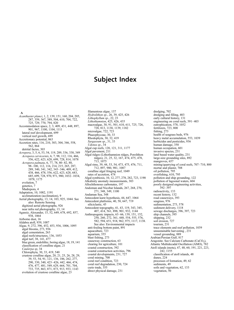## Subject Index

A

Acanthaster planci, 1, 2, 139, 151, 160, 204, 205, 287, 359, 367, 389, 504, 610, 704, 722, 725, 729, 770, 794, 820 Accommodation space, 2, 3, 409, 431, 448, 897, 901, 967, 1100, 1104, 1111 lateral reef development, 699 vertical reef growth, 699 Accretionary potential, 863 Accretion rates, 116, 210, 303, 304, 346, 558, 562, 864 detrital facies, 303 Acropora, 3, 5, 6, 53, 54, 119, 289, 336, 338, 349 Acropora cervicornis, 6, 7, 98, 112, 116, 466, 556, 622, 623, 628, 699, 728, 814, 1078 Acropora palmata, 6, 77, 78, 80–82, 88, 98–100, 112, 116, 214, 215, 265, 287, 289, 340, 341, 342, 343–346, 409, 412, 438, 466, 478, 556, 622, 623, 628, 683, 685, 699, 728, 970, 971, 980, 1032–1034, 1078, 1175 evolution, 7 genetics, 7 Madrepora, 4 Adaptation, 10, 1082, 1191 acclimatization (acclimation), 9 Aerial photography, 13, 14, 103, 925, 1044. See also: Remote Sensing digitized aerial photographs, 926 near infra red photography, 13, 14 Agassiz, Alexander, 15, 52, 649, 678, 692, 857, 938, 1064 Airborne dust, 16 Aldabra atoll, 939, 1087 Algae, 9, 272, 396, 452, 453, 936, 1006, 1095 algal blooms, 273, 936 algal cementation, 263 algal reefs/structures, 136, 1053 algal turf, 38, 141, 477 blue green, endolithic, boring algae, 18, 19, 141 classification of coralline algae, 21 Caulerpa sp, 34 Chlorophyta, 30, 33, 419, 540 crustose coralline algae, 20, 21, 25, 26, 28, 29, 39, 53, 54, 91, 121, 136, 186, 262, 277, 290, 330, 340, 423–426, 442, 466, 474, 476, 477, 481, 549, 629, 664, 701, 704, 733, 735, 863, 871, 873, 913, 933, 1143 evolution of crustose coralline algae, 23

filamentous algae, 137 Hydrolithon sp., 26, 39, 425, 426 Lithophyllum<sup>sp.</sup>, 22, 23 Lithothamnion, 425, 426, 435 macroalgae, 30, 91, 501, 610, 611, 725, 726, 728, 813, 1138, 1139, 1182 microalgae, 722, 723 Phaeophyceae, 30, 33 Rhodophyta, 30, 32, 419 Sargassum sp., 31, 33 Udotea sp., 34 Algal cup reefs, 120, 121, 311, 1177 Algal pavement, 211 Algal ridges (Lithothamnion ridges, Porolithon ridges), 21, 25, 32, 167, 474, 475, 478, 713, 1075 Algal rims, 39, 44, 53, 54, 473, 475, 476, 711, 712, 897, 980, 981, 1087 coralline algal fringing reef, 1049 rates of accretion, 474 Algal symbiosis, 10, 12, 277, 278, 282, 723, 1190 Alkalinity anomaly measurements, 303 Allochthonous carbonates, 197 Andoman and Nicobar Islands, 267, 268, 270, 271, 348, 349, 1100 Andaman Sea, 348 Antecedent karst hypothesis, 44, 647, 1064 Antecedent platforms, 40, 58, 647, 719 siliciclastic, 45 Antecedent topography, 41, 43, 119, 343, 345, 407, 414, 561, 898, 901, 932, 1144 Anthropogenic impacts, 63–66, 139, 151, 152, 250, 260, 272, 361, 448, 554, 555, 576, 582, 594, 651, 918, 962, 975, 1117, 1138. See also: Environmental impacts anti-fouling bottom paint, 891 aquaculture, 723 aquarium, 355 blast fishing, 273 causeway construction, 63 clearing for agriculture, 101 coastal construction, 392 coastal construction activities, 796 coastal developments, 231, 727 coral mining, 708 coral reef condition, 723 coral reef degradation, 230, 724 curio trade, 355 direct physical damage, 231

dredging, 702 dredging and filling, 403 early cultural history, 131 engineering on coral reefs, 391–403 eutrophication, 578, 1052 fertilizers, 723, 800 fishing, 273 health of seagrass beds, 976 heavy metal accumulation, 553, 1039 herbicides and pesticides, 936 human damage, 350 human occupation, 601 invasive species, 231 land based water quality, 231 large-size grounding sites, 892 mangroves<sub>, 657</sub> mining/quarrying of coral reefs, 707–710, 800 mortar and plaster, 708 oil pollution, 795 overfishing, 610, 795 pollution and ship grounding, 122 pollution of lagoonal waters, 604 poorly designed engineering activities, 392–397 radioactivity, 133 recent history, 132 road causeways, 393 seagrass, 976 sedimentation, 273, 578 sediment delivery, 1118 sewage discharges, 396, 397, 723 ship channels, 395 shipping, 232 soil erosion, 727 tourism, 231 trace elements and reef pollution, 1039 unsustainable harvesting , 231 vessel grounding, 889 Arabian/Persian Gulf, 817 Aragonite. See Calcium Carbonate (CaCO<sub>3</sub>), Atlantic Multidecadal Oscillation (AMO), 782 Atoll islands (motu), 47, 48, 60, 191, 221, 223, 242, 1155 classification of atoll islands, 48 dunes, 224 processes of formation, 49, 62 sediments, 49 soils and vegetation, 62, 133 vegetation, 50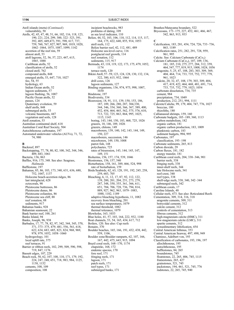Atoll islands (motu) (Continued) vulnerability, 50 Atolls, 42, 45, 47, 48, 51, 66, 102, 116, 118, 123, 190, 221, 224, 299, 300, 322–323, 391, 392, 405, 449,473, 591, 598, 617, 737, 759, 760, 767, 827, 907, 969, 1019, 1020, 1062–1064, 1075, 1087, 1099, 1142 accretion of the reef rim, 59 almost atoll, 53 atoll lagoons, 52, 56, 57, 223, 447, 615, 1065, 1088 Caribbean atolls, 52 classification of atolls, 52 closed atoll, 762 compound atolls, 848 emerged atolls, 53, 647, 718, 1027 feo, 54, 55 hydrology, 63 Indian Ocean atolls, 52 lagoon sediments, 57 lagoon flushing, 56, 1087 Pacific Ocean atolls, 52 passes, 124 Quaternary evolution, 59 shelf atolls, 848 submerged atolls, 53 volcanic basements, 447 vegetation and soils, 128 Atoll zonation, 53 Australian continental shelf, 618 Australian Coral Reef Society, 504 Autochthonous carbonates, 197 Automated underwater vehicles (AUVs), 71, 72, 74, 980 B Backreef, 897 Backstepping, 77, 78, 80, 82, 100, 342, 344, 346, 409, 683, 1061 Bacteria, 136, 863 Baffles, 916, 175, 348. See also: Seagrass, Halimeda Bafflestone, 197 Bahamas, 85, 86, 103, 173, 340, 631, 636, 680, 752, 1047, 1137 Holocene beach-accretion ridges, 86 last interglacial, 628 octocorals, 90 Pleistocene buttresses, 86 Pleistocene dunes, 86 Pleistocene eolianites, 86 Pleistocene sea cliff, 88 reef zonation, 88 sediments, 917 Bahamas banks, 928 Bahamian seamount, 22 Bank barrier reef, 100, 261 Banks Island, 94 Banks, Joseph, 96, 938

Barbados, 17, 77, 78, 82, 97, 342, 344, 345, 370, 371, 373–375, 479, 481, 556, 561, 618, 622, 634, 683, 685, 823, 824, 968, 969, 978, 979, 1052, 1058–1060 hydrogeology, 101 local uplift rate, 375 reef terraces, 91 Barrier or ribbon reefs, 102, 299, 509, 590, 598, 719, 847, 1176 Bassett edges, 107, 229 Beach rock, 50, 62, 107, 108, 110, 171, 179, 192, 224, 247, 248, 651, 718, 983, 984, 1125, 1138, 1152 cements, 108, 109

composition, 108

incipient beachrocks, 983 problems of dating, 109 as sea level indicator, 110 Belize, 44, 52, 103, 106, 110, 112, 114, 115, 117, 164, 175, 422, 640, 855, 914, 1053 atoll reefs, 112 Belize barrier reef, 42, 112, 481, 489 Holocene sea-level curve, 116 postglacial reef growth, 114 reef zonation, 112 sediments, 115, 917 Bermuda, 43, 118, 119, 122, 173, 175, 479, 1052,  $1174$ terrace reefs, 120 Bikini Atoll, 57–59, 123, 124, 128, 130, 132, 134, 322, 380, 615, 932, 1064 drill cores, 126 lagoon sediments, 127 Binding organisms, 136, 974, 975, 998, 1007, 1030 Bindstone, 197 Biodiversity, 334 Bioerosion, 18, 91, 111, 139, 150, 153, 186, 187, 189, 266, 280, 287, 304,330, 344, 346, 354, 360, 366, 367, 389, 400, 452, 454, 464, 465, 562, 575, 576, 610, 713, 722, 725, 863, 864, 995, 1025, 1115, 1143 boring, 143, 144, 150, 183, 468, 725, 1026 grazers, 10, 146, 189, 1026 grazers, chitons, 149 macroborers, 139, 140, 142, 143, 144, 149, 150, 227 macroborers, succession, 146 microborers, 149, 150, 1008 parrot fish, 148 polychaetes, 725 rates of bioerosion, 143, 144, 145, 147, 149, 151 Bioherms, 156, 157, 174, 539, 1046 Biostromes, 156, 157, 540 Bioturbation, 158, 161, 389, 466, 524, 998 rate of bioturbation, 159 Birds/Seabirds, 62, 63, 128, 191, 192, 245, 258, 259, 603, 705 Bleaching, 6, 11, 12, 17, 87, 92, 112, 122, 139, 200, 201, 204, 251, 273, 279, 287, 348, 350, 355, 361, 366, 611, 651, 704, 706, 728, 736, 794, 814, 889, 927, 962, 963, 1079–1083, 1088, 1182, 1189 adaptive bleaching hypothesis, 11, 1082 recovery from bleaching, 201 sea surface temperatures, 1079 thermal threshold, 1082 thermal tolerance, 1079 Blowholes, 163, 1033 Blue holes, 41, 57, 103, 164, 222, 932, 1180 Boat channels, 53, 54, 165, 434, 617, 712 Boilers, 120. See also: Cup reefs Bonaire, 370 Boulder beaches, 165, 166, 191, 432, 438, 442, 559, 1106, Boulder zone/Boulder ramparts, 62, 107, 166, 167, 442, 475, 643, 915, 1094 Brazil coral reefs, 168–170, 1174 chapeirão, 168, 172 endemic species, 170 fore reef, 171 fringing reefs, 171 lagoon, 171 patch reefs, 171 reef types, 171 submerged banks, 171

Brunhes/Matayama boundary, 522 Bryozoans, 173–175, 227, 452, 461, 466, 467, 542, 863, 913, 933 C Calcification, 183, 281, 454, 724, 726, 733–736, 863, 1189 Calcification rates, 251, 282, 291, 728, 959, 961, 995 Calcite. See: Calcium Carbonate (CaCo<sub>3</sub>) Calcium Carbonate (CaCo<sub>3</sub>), 107, 109, 136,<br>181, 185, 210, 275, 277, 284, 312, 359, 464, 547, 777, 819, 915, 1008, 1024, 1056 aragonite, 5, 25, 47, 108, 283, 303, 309, 369, 404, 464, 714, 733, 735, 752, 777, 779, 961, 1023 calcite, 20, 32, 47, 108, 179, 303, 309, 404, 417, 419, 422, 464, 468, 481, 691, 714, 733, 735, 752, 779, 1023, 1054 carbonate dissolution, 734, 735 cement, 984 precipitation, 734, 1049 production, 212, 251, 994, 1111 Calcrete/Caliche, 99, 179, 404, 747, 776, 1027 breccias, 180 rhizoliths, 180 Callianassid shrimps, 159, 160 Carbonate budgets, 185–189, 360, 1113 carbon metabolism, 182 organic carbon, 181 organic carbon production, 183, 1009 planktonic carbon, 183 sediment budgets, 994, 995 Carbonates, 197 classification, 193–198 Carbonate sediments, 265, 813 Carbon dioxide, 29 Carbon fluxes, 181, 182 energy transfer, 181 Caribbean coral reefs, 204, 338–346, 901 barrier reefs, 338 fringing reefs, 338 inner-shelf reefs, 344 late Holocene reefs, 341 reef-crest, 340 reef types, 338 shelf-edge reefs, 338, 340, 342–344 submerged reefs, 342 Caribbean corals, 17 Caroline Islands, 48 Cellular reefs, 473. See also: Reticulated Reefs Cementation, 309, 314, 316, 318 aragonite cements, 309, 311 botryoidal cements, 312 calcite cement, 312 controls of cementation, 313 fibrous cements, 312 high-magnesium calcite (HMC), 311 low-magnesium calcite (LMC), 311 sparite cements, 312 synsedimentary lithification, 454 Central American Isthmus, 353 Central American Seaway, 497, 498, 949 Chamisso, Adelbert von, 193 Classification of carbonates, 193, 196, 197 allochthonous, 195 autochthonous, 195 bafflestones, 84, 265 boundstones, 745 floatstones, 22, 265, 406, 745, 1115 framestones, 265, 427 grainstones, 521, 745 packstones, 194, 461, 521, 745, 776 rudstones, 22, 265, 745, 940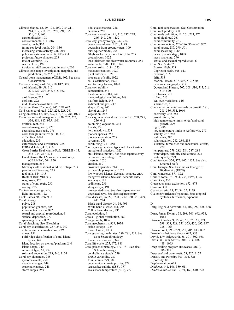Climate change, 12, 29, 198, 200, 210, 211, 214, 217, 218, 231, 290, 291, 355, 551, 611, 962 carbon dioxide, 198 coastal impacts, 214–216 coral growth, 962 future sea level trends, 204, 836 increasing storm activity, 218, 219 poleward extension of reefs, 813–814 projected future climates, 203 rate of warming, 199 sea level rise, 192 tropical rainfall amount and intensity, 200 Climate long-range investigation, mapping, and prediction (CLIMAP), 487 Coastal zone management (CZM), 402. See also: Conservation Cocos (Keeling) atoll, 52, 210, 812, 999 atoll islands, 49, 58, 110, 221, 222–224, 246, 615, 932, 1062,1063, 1065 atoll lagoon, 222 atoll rim,  $222$ mid Holocene evolution, 225 Cocos nucifera (Coconut), 245, 258, 642 Cold-water coral reefs, 225, 226, 228, 261 Conglomerates, 62, 108, 229, 713, 812, 984, 1075 Conservation and management, 230, 232, 273, 336, 884, 887, 975, 1061 artificial reef, 844 coastal management, 727 coastal seagrass beds, 976 coral triangle initiative (CTI), 336 difficulties, 1061 education, 235 enforcement and surveillance, 235 FORAM Index, 415, 416 Great Barrier Reef Marine Park (GBRMP), 13, 232–234, 247, 524 Great Barrier Reef Marine Park Authority, (GBRMPA), 504, 850 management, 556 Midway atoll, National Wildlife Refuge, 703 permits and licensing, 235 reef balls, 844, 845 Reefs at Risk, 918, 919 seagrasses, 975 status of coral reefs, 230 zoning, 235 Controls on coral growth, light limitation, 722 Cook, James, 96, 236, 938 Coral biology polyp, 288 population genetics, 885 reproductive season, 882 sexual and asexual reproduction, 6 skeletal deposition, 277 spawning events, 882 Coral bleaching. See: Bleaching Coral cay, classification, 237, 241, 249 criteria used in classification, 239 dunes, 191 Fairbridge classification of coral island types, 849 island location on the reef platform, 240 island shape, 240 sediment type, 61, 239 soils and vegetation, 213, 240, 1124 Coral cay, dynamics, 248 cyclonic events, 250 decadal changes, 249 seasonal changes, 248 storm surges, 250

tidal cycle changes, 248 tsunamis, 250 Coral cay, evolution, 191, 216, 237, 238, 246–247, 256, 1152 Coral cay, geohydrology, 247, 254 beach groundwater, 1020, 1148 degassing from groundwaters, 109 dual aquifer model, 254 Ghyben-Herzberg model, 63, 254, 255 groundwater, 1022 lens thickness and freshwater resources, 253 water table, 798, 1138, 1148 Coral cay, soils, 1019–1023 moisture retention, 1020 plant nutrients, 1020 properties of soils, 1022 soil classification, 1022 soil forming factors, 1020 Coral cay, stability cementation, 247 location on reef flat, 247 meteorological conditions, 248 platform height, 248 sediment budgets, 247 shape of cay, 247 size of cay, 247 vegetation, 247 Coral cay, vegetational succession, 191, 238, 245, 256, 642 colonizing vegetation, 244 forests,  $2\bar{5}8$ herb meadows, 258 pioneer species, 257 pioneer vegetation, 258 savannah, 258 shrub "ring" 257, 258 Coral cays – general and types and characteristics agricultural practices, 1022 atoll islands (motus). See also: separate entry carbonate mineralogy, 1020 diversity, 1020 erosion, 259 erosional episodes, 244 extractable phosphorus, 1023 low wooded islands. See also: separate entry mangrove islands. See also: separate entry sand cays, 191 sediments, 239 shingle cays, 191 unvegetated cays. See also: separate entry vegetated cays. See also: separate entry Coral diseases, 26, 27, 32, 87, 202, 350, 361, 409, 611, 724 Black band disease, 34, 36, 795 White band disease, 341, 795 Yellow band disease, 795 Coral evolution, 9 Corals – global distribution, 282 Coralgal reefs, 1086 Coral geochemistry, 959, 1034 stable isotope, 1034 trace element, 1034 Coral growth/growth rates, 280, 281, 554. See also: Sclerochronology linear extension rate, 349 Coral life cycle, 275, 672, 881 Coral palaeoclimatology, 777–781. See also: Sclerochronology coral-climate signals, 779 ENSO variability, 780 fossil corals, 779, 780 geochemical climate proxies, 778 sea surface salinity (SSS), 777 sea surface temperature (SST), 777

Coral reef conservation. See: Conservation Coral reef geodesy, 330 Coral reefs definition, 11, 261, 263, 275 coral-algal reef, 261 coral community, 263 Coral reproduction, 275–276, 366–367, 952 coral larvae, 287, 290, 501 coral spawning, 1088 larvae planula stage, 1088 mass spawning, 290 sexual and asexual reproduction, 6 Coral Sea, 504–520 Bunker High, 508 Capricorn basin, 508, 513 collision, 516 drift, 513 Marion Plateau, 507, 508, 519, 520 palaeo-oceanography, 519 Queensland Plateau, 507, 508, 510, 513, 516, 519, 520 rift basins, 510 rifting, 513 sea-level variations, 516 subsidence, 513 Corals:environmental controls on growth, 281, 285, 336, 594, 1060 chemistry, 282, 283 growth form, 363 high-temperature limits to reef and coral growth, 279 light, 286, low-temperature limits to reef growth, 279 salinity, 287, 288 sediments, 286 solar radiation, 282, 284, 288 substrate, turbulence and mechanical effects,  $279$ temperature, 279, 282–284, 287, 288 water depth, turbidity and latitude, 278 water quality, 279 Coral terraces, 374, 375, 967, 1133. See also: Emerged reefs Coral triangle. See: East Indies Triangle of Biodiversity (EITB) Coral windrows, 871, 872 Coriolis force, 761, 934, 936, 1093, 1126 Costa Rica, 353 Cretaceous mass extinction, 672–673 Curaçao, 370 Cyanobacteria, 19, 32, 34, 35, 1139 Cyclones/hurricanes/typhoons. See: Tropical cyclones, hurricanes, typhoons D Daly, Reginald Aldworth, 41, 109, 297, 486, 488, 813, 1064 Dana, James Dwight, 58, 298, 301, 692, 938, 1063 Darwin, Charles, 9, 15, 40, 51, 57, 165, 221, 298–303, 328, 351, 373, 430, 692, 897, 938, 1063 Darwin Point, 298–299, 550, 706, 813, 897 Darwin's subsidence theory, 647, 857 David, T.W. Edgeworth, 58, 301–302, 938 Davis, William Morris, 302–303, 486, 488, 1063 Deep drilling program (Enewetak Atoll), 386–388 Deep sea/cold water reefs, 73, 225, 1177 Density and Porosity, 303–304, 821 porosity, 821 Depth-zonation, 625 Diadema, 141, 146, 359, 611 Diadema antillarum, 17, 91, 160, 610, 728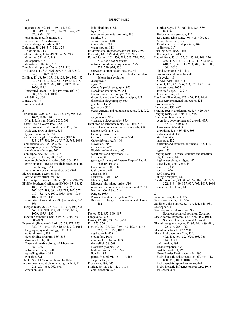Diagenesis, 58, 99, 161, 179, 184, 229, 309–319, 608, 625, 714, 745, 747, 779, 780, 980, 1035 crystalline modifications, 317 Diseases. See: Coral diseases Dissolved organic carbon, 183 Dolomite, 58, 316–317, 322, 323 Dissolution, 315 Dolomitization, 317–319, 321–324, 745 dolomite, 321, 447, 448 dolosparite, 318 dolostone, 316, 321, 323 Double and triple reef fronts, 325–326 Drill cores data, 303, 476, 506, 515–517, 530, 649, 701, 872, 1027 Drilling, 41, 58, 59, 105, 106, 126, 294, 302, 432, 433, 447, 503, 520, 523, 549, 561, 715, 719, 798, 867, 960, 1060, 1062, 1064, 1074, 1185 Integrated Ocean Drilling Program, (IODP), 688, 822–824, 1060 oil drilling, 504 Dunes, 776, 777 Dune sands, 404 E

Earthquakes, 270, 327–332, 348, 596, 598, 695, 1097, 1100, 1103 Nias Indonesian, March 2005. 598 Eastern Pacific Warm Pool, 352 Eastern tropical Pacific coral reefs, 351, 352 Holocene growth history, 353 types of coral reefs, 354 East Indies triangle of biodiversity (EITB), 333–337, 501, 594, 595, 743, 763, 1093 Echinoderms, 26, 358–359, 367, 704 Eco-morphodynamics, 359–362 timeframes of change, 360 Ecomorphology, 363–365, 978 coral growth forms, 289, 972 ecomorphological zonation, 363, 364, 422 environmental stresses and their effect on coral morphology, 363 variation in coral communities, 363–364 Electro mineral accretion, 368 artificial reef structures, 368 Electron Spin Resonance Dating (ESR), 368–372 El Niño Southern Oscillation (ENSO), 15–16, 62, 189, 199, 201, 204, 221, 353–355, 365–367, 498, 694, 695, 717, 762, 777, 780–782, 927, 1001, 1035, 1038, 1039, 1075, 1087, 1135 sea-surface temperature (SST) anomalies, 365, 366 Emerged reefs, 98, 327–330, 373–378, 406, 596, 663, 968, 978, 979, 980, 1035, 1038, 1059, 1075, 1133 Emperor Seamount Chain, 549, 701, 802, 803, 806–809 Enewetak, (Enewetok) Atoll, 57, 58, 173, 175, 322, 383–390, 448, 540, 544, 932, 1064 biogeography and ecology, 388–390 cultural history, 382 deep drilling program, 386–388 diversity levels, 388 Enewetak marine biological laboratory, 383–386 subsidence theory, 390 upwelling effects, 388 zonation, 381 ENSO. See: El Niño Southern Oscillation Environmental controls on coral growth, 9, 11, 281–293, 363, 962, 978,979 emersion, 818

latitudinal limits, 813 light, 278, 818 microenvironmental controls, 287 salinity, 817 sedimentation, 818 temperature, 501 water motion, 818 Environmental impact assessment (EIA), 397 Eolianite, 108, 179, 404, 776, 777, 985 Eutrophication, 101, 576, 581, 723, 724, 726, 799. See also: Nutrients nutrient pollution/eutrophication, 575, 722–729, 934, 936 seawater contamination/ sewage, 64 Evolutionary Theory – Genetic Links. See also: Scleractinia evolution Acropora, 7 algae, 23 Croizat's panbiogeography, 953 Darwinian evolution, 9, 954 Darwin's centres of origin, 953 dispersion and the founder principle, 953 dispersion biogeography, 953 genetic links, 950 genotypes, 950 ocean currents and reticulate patterns, 951, 952, 954 syngameons, 955 vicariance biogeography, 953 Evolution of carbonate reefs, 452–469, 513 ages of seamounts and oceanic islands, 804 ancient reefs, 275–281 Canning Basin, 305 Carbonate record in SE Asia, 334 Carboniferous reefs, 190 Devonian, 305 epeiric seas, 462 Florida reef evolution, 407 fossil reefs and bryozoans, 173 Frasnian, 94 geological history of Eastern Tropical Pacific reefs (ETP), 353 Gondwana, 1084, 1085 Gulf Stream, 498 Jurassic, 464 Lauraisia, 1084, 1085 Miocene, 464 Miocene 'phosphate' spike, 516 ocean circulation and reef evolution, 497–503 Northern Coral Sea, 516 Pangea, 1085 Permian Capitan reef system, 789 Response to long-term environmental change, 462 Facies, 532, 857, 860, 897 Fangataufa, 322 Faroes, 42, 405, 590, 591, 650

893, 928 Holocene transgression, 414 Key Largo Limestone, 406, 408, 409, 627 Miami limestone, 627 Pleistocene marine deposition, 409 sediments, 917 Flushing, 569, 1095, 1166 flushing times, 613 Foraminifera, 53, 54, 57, 61, 87, 91, 108, 136, 265, 415, 416–421, 442, 447, 542, 549, 618, 733, 863, 913, 933, 988, 992, 1000, 1006, 1086 algal symbionts, 417, 418 environmental indicators, 416 life cycle, 418 FORAM Index, 415–416 Fore reef, 120, 422, 566, 713, 876, 897, 1054 buttress zone, 1032 fore-reef slope, 119, 914 fore-reef zone, 713 Fossil coralline algae, 423–426, 523, 1060 palaeoenvironmental indicators, 424 zonation, 425 Framestone, 197, 427 Fringing reef hydrodynamics, 427–429, 567 Fringing reefs, 261, 430–444, 598 Fringing reefs – features accretion, development and growth, 435, 437–439, 440, 898 framework, 434, 439 growth models, 436, 437, 898 nutrients, 434, 435 structure, 436 substrate, 432 turbidity and terrestrial influence, 432, 434, 435 types, 433 Fringing reefs – surface structure and zonation algal terraces, 442 high water shingle ridges, 442 outer living coral zone, 444 reef crest, 439 reef flat, 436 reef slope, 441 shingle ramparts, 442 Funafuti Atoll, 40, 48, 58, 65, 66, 109, 302, 303, 322, 446–449, 857, 939, 995, 1017, 1064 recent sea level rise, 447 G Gaimard, Joseph Paul, 827 Galapagos islands, 353, 354 Gardiner, John Stanley, 52, 109, 451, 649, 938

Florida Keys, 173, 406–414, 785, 889,

F

Fiji, 373, 376 Fish, 10, 25, 128, 227, 389, 465, 467, 611, 651, 768, 975, 1056, 1087 algal growth, 465 clown fish, 1070 coral reef fish larvae, 883 damselfish, 38, 709 Hawaiian grouper, 704 herbivorous fish, 537, 726 lion fish, 92 parrot fish, 26, 91, 121, 147, 462 surgeon fish, 26 Floatstone, 197, 406 Florida, 80, 81, 343, 1137, 1174 coral zonation, 628

Gastropods, 39 Geomorphological zonation. See: Ecomorphological zonation, Zonation Glacio control hypothesis, 58, 486–489, 1064. See also: Daly, Reginald Aldworth Glacial-interglacial cycle, 80, 97, 106, 489, 491, 492, 596, 968, 1064 Glacial interstadials, 479, 968 Glacio-hydro isostasy, 246, 435, 492, 495, 497, 523, 620, 698, 969, 1140, 1185 deformation, 491 elastic response, 494 eustatic sea-level, 493 Great Barrier Reef model, 494–496 hydro-isostatic adjustments, 59, 60, 494, 718, 850, 853, 1018, 1018, 1075 hydro-isostatic spatial response, 494 hydro-isostatic influence on reef type, 1075 ice sheets, 491

<sup>1198</sup> SUBJECT INDEX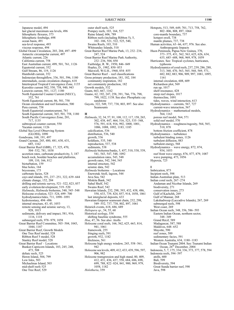Japanese model, 494 last glacial maximum sea levels, 496 lithospheric flexures, 373 lithospheric forebulge, 698 ocean basin, 491 sea-level response, 493 viscous response, 494 Global Ocean Circulation, 203, 204, 497–499 Antarctic circumpolar current, 497 Atlantic current, 226 California current, 758 East Australian current, 499, 501, 761, 1126 Equatorial current, 352 Gulf Stream, 86, 119, 1126 Humboldt current, 352 Indonesian throughflow, 336, 501, 596, 1180 interstadials, ocean circulation changes, 618 Intertropical Tropical Convergence Zone, 1135 Kuroshio current 502, 550, 758, 940, 943 Leeuwin current, 501, 1127, 1180 North Equatorial Counter Current (NECC), 352, 761 North Equatorial current, 86, 501, 758 Ocean circulation and reef formation, 500 Peru current, 758 South Equatorial countercurrent, 761 South Equatorial current, 365, 501, 758, 1180 South Pacific Convergence Zone, 201, 717, 1135 subtropical counter current, 550 Yucatan current, 1126 Global Sea Level Observing System (GLOSS), 1090 Gondwana, 168, 191, 497 Grand Cayman, 245, 480, 481, 630, 631, 685, 1162 Great Barrier Reef (GBR), 17, 325, 470, 504–532, 781, 1038 accretion rates, carbonate productivity, 3, 187 beach rock, boulder beaches and platforms, 109, 110, 166, 812 bioturbation, 159 blue holes, 164 bryozoans, 173 carbonate facies, 528 cays and islands, 191, 237–251, 322, 639–644 climate change, 152, 204 drilling and seismic survey, 521–522, 823, 857 early evolution/development, 519–520 Halimeda, Halimeda bioherms, 540, 545–548 Holocene evolution, 523–524, 699–700 hydrodynamics/tides, 711, 1090–1091 hydroisostasy, 494–496 internal structure, 43, 45, 1053 remote sensing and seismic survey, 13, 928, 1015 sediments, delivery and impact, 581, 916, 1116, 1118 submerged reefs, 978–979, 1058 Great Barrier Reef Committee, 503–504, 1043, 1044, 1187 Great Barrier Reef, Growth Models One Tree Reef model, 528 Ribbon Reef 5 model, 528 Stanley Reef model, 528 Great Barrier Reef – Locations Bunker-Capricorn Islands, 103, 245, 248, 473, 508 deltaic reefs, 525 Heron Island, 504, 799 Low Isles, 503 Michaelmas Island, 503 mid-shelf reefs 525 One Tree Reef, 529

outer shelf reefs, 525 Pompey reefs, 103, 164, 527 Raine Island, 606, 789 Ribbon reefs (including Ribbon 5), 5, 102–106, 521, 522, 525, 540, Swains Reefs, 103, 510 Whitsunday Islands, 510 Great Barrier Reef Marine Park, 13, 232–234, 247, 524 Great Barrier Reef Marine Park Authority, 232–236, 504, 850 Fairbridge, R. W., 1950, 846–849 Hopley, D., 1982, 850–853 Maxwell, W.G.H., 1968, 854–855 Great Barrier Reef – reef classifications Gross primary production, 181, 182, 184 community respiration, 182 net community production, 182 Growth models, 532 Guam, 663, 667, 1162 Guano, 62, 192, 247, 258, 391, 766, 776, 798, 799, 1022, 1138. See also: Phosphatic cay sandstone Guyots, 322, 549, 737, 738, 803, 897. See also: Seamounts H Halimeda, 32, 34, 57, 91, 108, 112, 117, 158, 265, 302, 438, 447, 464, 516, 523, 535–548, 576, 591, 618, 916, 992, 1000, 1001, 1006, 1088, 1092, 1183, 1185 calcification, 536 distribution, 536, 540 growth, 536 holdfasts, 535, 540 reproduction, 537, 538 sediments, 538 Halimeda bioherms/banks, 5, 457, 510, 538, 539, 541, 543, 547, 548, 1092 accumulation rates, 543, 548 growth rates, 542, 544, 545 internal structure, 542 seismic data, 542 Halimeda bioherms – Locations Enewetak Atoll, lagoon, 544 Java Sea, 542 Miskita Bank, 542 Sahul Shelf, 542 Swains Reef, 542 Hawaiian Islands, 232, 298, 393, 432, 438, 486, 550, 633, 739, 824, 857, 914, 1058, 1061 last interglacial deposits, 633 Hawaiian-Emperor seamount chain, 232, 298, 549–552, 737, 738, 802, 897, 1061 Heinrich events, 618, 686, 689 Heliopera sp., 54, 55, 60 Historical ecology, 554 shifting baseline syndrome, 555 Hoa, 47, 56. See also: Atolls Holocene coral reefs, 166, 562, 625, 663, 814, 941, 1061 framework, 255 fringing reefs, 591 growth, 932, 1182 thickness, 561 Holocene high energy window, 245, 558–561, 942 Holocene sea levels, 409, 412, 433, 439, 596, 597, 906, 982 Holocene transgression and high stand, 80, 409, 412, 431, 436, 437, 558, 684, 686, 698, 699, 788, 822–824, 841, 900, 969, 979, 1058, 1182 Holothuria, 359

Hotspots, 513, 549, 649, 701, 713, 758, 762, 802–806, 808, 897, 1064 core-mantle boundary, 737 hotspot swell, 738 mantle plumes, 737, 738 Human activities, 63–66, 657, 976. See also. Anthropogenic Impacts Huon Peninsula, Papua New Guinea, 370, 373–375, 431, 562, 563, 625, 626, 634, 635, 685–688, 968, 969, 978, 1059 Hurricanes. See: Tropical cyclones, hurricanes, typhoons Hydrodynamics of coral reefs, 237, 239, 286, 288, 313, 360, 470, 563, 565, 568, 569, 571, 682, 882, 883, 906, 909, 997, 1081, 1095, 1161 internal circulation, 608, 609 Richardson plot, 569 run up, 1017 shelf resonance, 428 steep reef slopes, 1017 thermocline, 1091 tides, waves, wind interaction, 613 Hydrodynamics – currents, 567, 727 current-wave interaction, 567 Hydrodynamics – mathematical models, 564, 1163 porous reef model, 564, 571 solid reef model, 570 Hydrodynamics – roughness/rugosity, 564, 565, 510, 878 bottom friction coefficient, 878 Hydrodynamics – turbulence turbulent binding zones, 1126 turbulent diffusion, 883 turbulent energy, 568 Hydrodynamics – wave energy, 872, 874, 934, 1053 reef front wave energy, 876, 877, 879, 1087 wave pumping, 473, 1056 Hypoxia, 725 I Imbrication, 873 Incipient reefs, 598 Indian-Australian plate, 513 Indian coral reefs, 267–274 Andaman and Nicobar Islands, 269 biodiversity, 271 conservation issues, 273 Gulf of Kachchh, 269 Gulf of Mannar, 268 Lakshadweep (Laccadive Islands), 267, 269 submerged reefs, 598 West coast, 269 Indian Ocean reefs, 348, 356, 586–593 Eastern Indian Ocean, northern sector, 348–349 Grand Récif, 589 Madagascar, 587, 588 Maldives, 648–652 Mayotte, 590 reef zones, 589 sedimentary facies, 591 Western Australia, 634, 1180–1183 Indian Ocean Tsunami 2004. See: Tsunami Indian Ocean, 26<sup>th</sup> December, 2004 Indonesia, 5, 7, 175, 334, 336, 373, 377, 578, 594 Indonesia reefs, 594–597 atolls, 600 Bali, 599 Biodiversity, 594 Great Sunda barrier reef, 598 Java, 598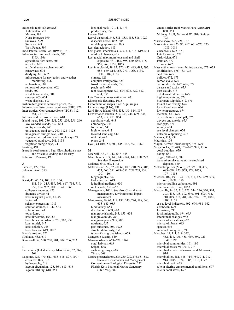Indonesia reefs (Continued) Kalimantan, 598 Malaku, 599 Nusa Tenggara 599 Sulawesi, 599 Sumatra, 598 West Papua, 599 Indo-Pacific Warm Pool (IPWP), 781 Infrastructure and reef islands, 605, 1163, 1166 agricultural fertilizers, 604 airfields, 602 artificial entrance channels, 601 causeways, 604 dredging, 601, 602 infrastructure for navigation and weather monitoring, 606 reclamation, 602 removal of vegetation, 602 roads, 602 sea defence works, 604 sewage, 603, 604 waste disposal, 603 Inshore terrigenous sediment prism, 559 Intermediate disturbance hypothesis (IDH), 220 Inter-tropical Convergance Zone (ITCZ), 112, 351, 717, 761 Intrinsic and extrinsic drivers, 610 Island types, 191, 236–251, 255–256, 256–260 low wooded islands, 639–644 multiple islands, 243 unvegetated sand cays, 240, 1124–1125 unvegetated shingle cays, 240 vegetated mixed sand and shingle cays, 241 vegetated sand cays, 241, 1138 vegetated shingle cays, 243 Isostasy, 491 Isostatic readjustment. See: Glaciohydroisistasy and Volcanic loading and isostasy Isthmus of Panama, 498

#### J

Jamaica, 422, 914 Johnston Atoll, 395

#### K

Karst, 42, 45, 58, 103, 117, 164, 181, 314, 315, 489, 591, 617, 714, 719, 850, 854, 932, 1011, 1064, 1065 collapse structures, 473 drainage divide, 41 karst marginal plains, 41, 45 lapies, 41 seismic expression, 1013 solution dolines, 41, 42, 563 solution rim, 41 tower karst, 41 karst limestone, 164, 821 karst limestone islands, 761, 762, 939 karst model, 647 karst solution, 745 karstification, 649, 1027 Kita-daito-jima, 322 Krakatoa, 432, 679 Kure atoll, 52, 550, 700, 701, 704, 706, 773  $\mathbf{L}$ Laccadives (Lakshadweep Islands), 48, 52, 267, 269

Lagoons, 124, 470, 613, 615–618, 897, 1007 cross reef flux, 615 hydrography, 618 lagoon circulation, 125, 564, 613–616 lagoon infilling, 618, 851

#### 1200 SUBJECT INDEX

lagoonal reefs, 121, 471, 473 productivity, 852 Larvae, 884 Larval dispersal, 346, 881–883, 885, 886, 1029 dispersal kernel, 882–885 modeling approaches, 885 Last deglaciation, 683 Last glacial interstadials, 325, 374, 618–619, 634 sea-level changes, 618 Last glacial maximum lowstand and shelf exposure, 481, 487, 595, 620, 686, 715, 968, 969, 1058, 1059 Last interglacial, 59, 83, 270, 432, 493, 497, 592, 688–689, 814, 968, 979, 1065, 1130, 1131, 1182, 1185 climate, 621 complex stratigraphy, 626 fossil reef-crest units, 630 patch reefs, 630 reef development 622–624, 625, 629, 632, 634, 636 Late Devonian mass extinction, 671 Lithosperic flexuring, 1075 Lithothamnion ridges. See: Algal ridges Little Ice Age (LIA), 781 Lord Howe Island, 434, 435, 439, 814, 817 Low wooded islands, 210, 243, 244, 639–644, 653, 812, 851, 854 age framework, 643 chronology, 244 formation, 643 high terrace, 642 leeward sand cay, 642 reef flat, 640 types, 244 Lyell, Charles, 57, 300, 645–646, 857, 1062 M MacNeil, F.S., 41, 42, 647–648 Macroborers, 139, 140, 142–144, 149, 150, 227. See also: Bioerosion Makatea, 648, 767, 1142 Maldives, 48–50, 52, 60, 62, 109, 240, 249, 405, 473, 560, 591, 648–652, 708, 709, 939, 1001, 1104 biogeography, 649 Holocene reef, 649 latitudinal gradients, 650 reef islands, 651–652 Management, 1061. See also: Coastal zone management, Environmental impact assessment Mangroves, 56, 63, 112, 191, 243, 244, 598, 640, 655–663, 985 biodiversity, 653 distributions, 658, 663 mangrove islands, 243, 653–654 mangrove muds, 986 mangrove peats, 985, 986 nutrients, 655 peat substrate, 406, 1025 structural diversity, 658 types of mangrove islands, 653 Mangrove swamp, 640 Mariana islands, 663–670, 1162 coral habitats, 663 Saipan, 668 surficial geology, 669 Tinian, 668 Marine protected areas, 205, 230, 232, 276, 551, 887. See also: Conservation and Management Convention on Biological Diversity, 232 Florida Keys National Marine Sanctuary (FKNMS), 889

Great Barrier Reef Marine Park (GBRMP), 850, 851 Midway Atoll, National Wildlife Refuge, 703 Marine snow, 723, 724, 727 Mass extinctions 25, 95, 467, 671–677, 735, 1085, 1086 Cretaceous, 672–673 Late Devonian, 671 Ordovician, 671 Permian, 672 Triassic, 672 Mass extinctions – contributing causes, 673–675 acidification, 676, 733–736 acid rain, 675 bolides, 672, 673 carbon cycle, 675 carbon dioxide, 672, 676, 677 disease and toxins, 675 dust clouds, 673 extraterrestrial events, 675 high temperatures, 674 hydrogen sulphide, 672, 675 loss of biodiversity, 674 loss of reef area, 674 low temperatures, 674 methane, 673, 675 ocean chemistry and pH, 676 oxygen and anoxia, 675 reef gaps, 671 salinity, 674 sea-level changes, 674 volcanic outpouring, 672 Mataiva, 931, 932 Mauritius, 103 Mayor, Alfred Goldsborough, 678–679 Megablocks, 62, 448, 679–682, 995, 1106 coral boulders, 679 dating, 681 origin, 680–681, 689 tsunami-emplaced vs storm-emplaced deposits, 680 Meltwater pulses (MWP), 77, 79, 100, 479, 683–689, 823, 969, 979, 1058, 1074, 1185 Micrites, 109, 193, 194, 197, 314, 422, 459, 579, 691, 1008, 1056 microcrystalline carbonates, 691 micritic crusts, 1049, 1053 Microatolls, 54, 55, 210, 223, 244, 246, 330, 364, 373, 433, 438, 592, 640, 691–695, 712, 718, 819, 873, 981, 982, 984, 1075, 1086, 1100, 1177 as sea level indicators, 692–694, 981–982 Caribbean, 699 formation, 693 fossil microatolls, 694, 695 interannual changes, 982 microatoll elevations, 693 microatoll forms, 693 species, 692 subaerial emergence, 693 Microbes, 17, 111, 319, 322 452, 454, 456, 458, 459, 697, 723, 1047, 1095 microbial communities, 161, 190 microbial crusts, 911, 912, 914 microbial crusts Palaeozoic and Mesozoic, 914 microbialites, 481, 688, 714, 789, 911, 912, 914, 1045, 1074, 1086, 1136, 1177 microbial reefs, 455 role in altering environmental conditions, 697 role in coral stress, 697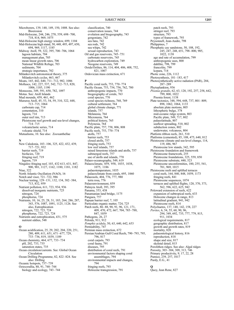Microborers, 139, 140, 149, 150, 1008. See also: Bioerosion Mid-Holocene, 244, 246, 270, 559, 698–700, 718, 814, 969, 1075 Mid-Holocene high energy window, 699, 1104 Mid-Holocene high stand, 50, 448, 495, 497, 650, 694, 969, 1117, 1185 Midway Atoll, 59, 322, 395, 700–706, 1064 lagoon habitats, 704 management plan, 705 mean linear growth rates, 706 National Wildlife Refuge, 703 sediments, 704 strategic importance, 702 Milankovitch astronomical theory, 375 Milankovitch cycles, 463, 467 Moats, 165, 442, 640, 711–712, 982, 1086 Molluscs, 142, 227, 537, 542, 712–713, 820, 1006, 1185, 1190 Monsoons, 349, 591, 650, 782, 1097 Motus. See: Atoll Islands Mud mounds, 459, 461, 462 Mururoa Atoll, 45, 53, 54, 59, 310, 322, 448, 713–715, 1064 carbonate cap, 714 cementation, 310 lagoon, 714 outer reef rim, 713 Pleistocene reef growth and sea-level changes, 714–715 volcaniclastic series, 714 volcanic shield, 714 Mutualisms, 10. See also: Zooxanthellae

N New Caledonia, 103–106, 325, 422, 432, 439, 717–721, 932 barrier reefs, 719 biofacies, 720 fringing reef, 719 lagoon, 719 Ningaloo fringing reef, 103, 432 613, 631, 847, 900, 901, 1127, 1162, 1180, 1181, 1182 Niue, 322 North Atlantic Oscillation (NAO), 16 Notch and visor, 721–722, 986 Nuclear testing, 129–131, 132, 134, 382–384, 713, 832, 959 Nutrient pollution, 611, 723, 934, 936 dissolved inorganic nutrients, 725 nitrogen, 724 phosphorus, 724 Nutrients, 10, 16, 25, 28, 31, 183, 264, 286, 287, 343, 576, 1087, 1091, 1125, 1126. See also, Eutrophication nitrogen, 722, 723, 724 phosphorus, 722, 723, 724 Nutrients and eutrophication, 431, 575 nutrient eddies, 548

#### O

Ocean acidification, 25, 29, 202, 204, 220, 251, 280, 409, 611, 651, 671–677, 729, 733–736, 819, 1039, 1189 Ocean chemistry, 464, 677, 733–734 pH, 202, 733, 735 saturation states, 735 Ocean circulation/currents. See: Global Ocean Circulation Ocean Drilling Programme, 82, 822–824. See also: Drilling Oceanic hotspots, 737–739 Octocorallia, 88, 91, 740–744 biology and ecology, 743–744

classification, 740 conservation issues, 744 evolution and biogeography, 743 gorgonians, 742 sea fans, 742 sea rods, 742 sea whips, 742 sexual reproduction, 743 Oil and gas reservoirs, 745–751 carbonate reservoirs, 745 hydrocarbon exploration, 749 Neogene reservoirs, 749 Ooids/Oolites, 86, 114, 404, 406, 408, 752, 821, 1007 Ordovician mass extinction, 671

### P

Pacific coral reefs, 753, 770–774 Pacific Ocean, 753, 754, 756, 762, 780 anthropogenic impacts, 770 biogeography of corals, 763 coral species, 770 coral species richness, 768, 769 cultural settlement, 764 global climate change, 771 islands, 757 Melanesia, 764 Micronesia, 764 political history, 765 Polynesia, 764 Pacific plate, 757, 758, 806, 808 Pacific reefs, 753, 770–774 atolls, 757 barrier reefs, 753 closed atolls, 757 fringing reefs, 753 low reef islands, 757 raised limestone islands and atolls, 757 submerged reefs, 757 use of atolls and islands, 770 Palaeo-oceanography, 549, 619 Palaeoclimate, 859, 958, 1035, 1038, 1075, 1186 palaeotemperature, 1035 palaeoclimate from corals, 695, 1060 Palaeosols, 404, 776, 777, 980 terra rosa, 776 Palaeoenvironment, 859 Palmyra Atoll, 393, 395 Panama, 353, 438 Panamanian land bridge, 1175 Pangaea, 757 Papuan barrier reef, 7, 105 Particulate organic matter, 724, 725 Patch reefs, 86-88, 90, 91, 96, 121, 171, 409, 470, 472, 667, 704, 785–788, 847, 1059 Pathogens, 26, 27 Peloids, 911, 912 Pemphis acidula, 50, 63, 640, 642, 653 Permiability, 747 Permian mass extinction, 672 Persian/Arabian Gulf Coral Reefs, 790–793, 795, 796, 817 coral carpets, 793 coral fauna, 791 diseases, 795 distribution of coral reefs, 791 environmental factors shaping coral assemblages, 794 environmental impacts and changes, 794 fringing reefs, 793 Holocene transgression, 791

patch reefs, 793 stringer reef, 793 structure, 793 types of framework, 793 Peysonnell, Jean-Andre, 798 Philippines, 7 Phosphatic cay sandstone, 50, 108, 192, 245, 247, 248, 651, 798–800, 985, 1022, 1138 age and rate of accumulation, 799 anthropogenic uses, 800 dahllite, 798, 799 francolite, 799 kopara, 714 Photic zone, 226, 1112 Photosynthesis, 181–183, 417 Photosynthetically active radiation (PAR), 284, 287–289 Phytoplankton, 936 Pisonia grandis, 62, 63, 128, 192, 257, 258, 642, 799, 800, 1022 Pisonia forest, 1138 Plate tectonics, 348, 594, 648, 737, 801–809, 898, 1062, 1064, 1133 absolute plate motions, 805 lithospheric bulge, 378 mid-oceanic ridge system, 803 Pacific plate, 549, 717, 802 palaeolatitude, 807 seafloor spreading, 510, 802 subduction zones, 802 underwater, volcanoes, 804 Platform ribbon reefs, 261, 510 Platforms (cemented), 85, 108, 475, 640, 812 Pleistocene climate and sea-level change, 114, 119, 486, 967 Pleistocene low stands, 342, 595 Pleistocene foundation and framework Pleistocene framework, 255 Pleistocene foundations, 325, 559, 850 Pleistocene substrate, 440, 523 Pleistocene unconformities, 180, 255, 541, 701, 969, 1015 Pleistocene reefs and uplifted terraces coral reefs, 164, 840, 848, 1059, 1173 fringing reefs, 841 Pleistocene sequences, 1074 terraces and uplifted flights, 120, 370, 373, 562, 596, 622, 625, 942 Poleward extension of reefs, 622 expansion of subtropical reefs, 633 Holocene changes in range, 813 latitudinal gradient, 941, 942 Pleistocene reefs, 814 Polychaetes, 137, 140, 142, 158, 227 Porites, 6, 54, 55, 60, 90, 96, 294, 349, 692, 735, 777, 779, 815, 911, 1034 ecological requirements, 817 geographic distribution, 817 growth and growth rates, 819 mortality, 820 palaeontological history, 816 reproduction, 818 shape and size, 817 skeletal detail, 815 Porolithon ridges. See also: Algal ridges Porosity, 303–304, 309, 313, 746 Primary productivity, 9, 17, 22, 28 Pumice, 239, 257, 1017 Purdy, E.G., 41

#### Q

Quoy, Jean Rene, 827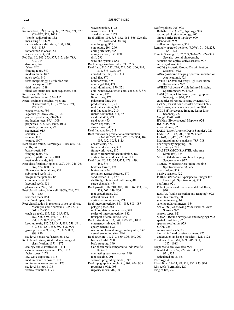R

Radiocarbon, (<sup>14</sup>C) dating, 60, 62, 247, 371, 829, 829–832, 979, 1035 "bomb" radiocarbon, 832 measuring 14C, 829 radiocarbon calibration, 100, 830, 831, 1135 radiocarbon in ocean, 831 reservoir effect, 831 Red Sea, 80, 103, 373, 377, 615, 626, 783, 839, 914 diversity, 842 fishes, 842 fringing reefs, 840 modern fauna, 842 patch reefs, 840 reefs-morphology, distribution and description, 839 tidal ranges, 1089 tilted last interglacial reef sequences, 626 Red Tides, 16, 723 Reefal sedimentation, 354–355 Reefal sediments origins, types and characteristics, 113, 289, 575, 591, 722, 915 characteristics, 996 lagoonal (Midway Atoll), 704 primary producers, 994–995 production rates, 995, 1009 properties, 722, 726, 1005, 1008 secondary producers, 995 segmented, 915 spicular, 915 tabular, 915 texture, 1007 Reef classification, Fairbridge (1950), 846–849 atolls, 848 barrier reefs, 847 fringing reefs, 847 patch or platform reefs, 848 reefs with islands, 848 Reef classification, Hopley (1982), 244, 246, 261, 262, 524, 850–853 Pleistocene foundations, 851 submerged reefs, 851 irregular reef patches, 851 crescentic reefs, 851 lagoonal reefs, 851 planar reefs, 246, 851 Reef classification, Maxwell (1968), 261, 524, 854–855 resorbed reefs, 854 shelf reef types, 854 Reef classification in response to sea level rise, Macintyre and Neumann (1985), 523, 561, 855–856 catch-up-reefs, 187, 325, 345, 476, 489, 558, 559, 591, 619, 823, 851, 855, 897, 898, 970 keep-up reefs, 187, 325, 345, 489, 558, 591, 619, 823, 851, 855, 897, 898, 970 give-up reefs, 489, 619, 823, 855, 897, 898, 970 sea level versus reef accretion, 862 Reef classification, West Indian ecological classification, 1171, 1172 ecology and classification, 1171 extreme wave exposure, 1172, 1173 facies zones, 1171 low wave exposure, 1173 medium wave exposure, 1173 minimum wave exposure, 1173 sea level history, 1173 vertical zonation, 1173

wave zonation, 1172 wave zones, 1171 zonal structure, 1171 Reef drilling, 856, 858–862, 864–866. See also: Drill cores and Drilling core logging, 865 core plugs, 294–296 coring artefacts, 865 coring method, 857, 858 drill, 295 wire line systems, 858 Reef energy window index, 211, 239 Reef flats, 210–212, 216, 524, 565, 566, 869, 871, 873–875, 1087 abraded reef flat, 373–374 algal flat, 870 boulder zone, 475 coral algal flat, 474 coral-dominated, 870, 871 coral windrows/aligned coral zone, 238, 871 formation, 475 living zone, 473 palaeoreef flats, 246 productivity, 210, 211 reef flat accretion, 942 reef flat zonation, 210 rubble dominated, 871, 873 sand flat, 475, 871 sand zone, 473 storm deposits, 475 striated zone, 475 Reef flat zonation, 211 Reef framework production/accumulation, 183–188, 227, 275, 277, 353, 354, 409, 897, 932, 1053, 1113 constructors, 872 framework cavities, 913 framework types, 187 rates of framework accumulation, 187 vertical framework accretion, 188 Reef front, 80, 175, 325, 422, 478, 479, 481, 876 bedrock terrace, 478 buttresses, 474 formation terrace features, 479 sand terrace, 478, 479 shelf-edge chutes and buttresses, 480 surge channels, 474 Reef growth, 116, 210, 303, 304, 346, 353, 532, 558, 562, 649, 864 reef growth rates, 280 detrital facies, 303 vertical accretion rates, 971 Reef interconnectivity, 881–883, 885–887 pelagic phase, 881 reef population connectivity, 881 scales of interconnectivity, 882 transport of coral larvae, 549 Reef restoration, 133, 844, 889–895, 1030 emergency salvage, 891 epoxy cement, 892 restoration to medium grounding sites, 892 vessel grounding sites, 894 Reef structure, 11, 277, 650, 896, 899, 900 backreef infill, 900 back-stepping, 899 Caribbean reefs compared to Indo Pacific, 899–901 contrasting sea-level curves, 899 reef stacking, 901 seaward prograding model, 899 Reef topographic complexity, 902, 904, 905 roughness, 902, 903 rugosity index, 902, 903

Reef typology, 906, 908 Battistini et al (1975), typology, 909 geomorphological typology, 906 Great Barrier Reef typology, 909 island/atoll, 909 millennium typology, 909 Remotely operated vehicles (ROVs), 71–74, 225, 1068, 1121 Remote Sensing, 13, 57, 203, 920–922, 924–928. See also: Aerial photography acoustic and optical active sensors, 927 active systems, 922 AGDS (Acoustic Ground Discrimination Systems), 922 AISA (Airborne Imaging Spectoradiometer for Applications), 924 AVHRR (Advanced Very High Resolution Radiometer), 927 AVIRIS (Airborne Visible Infrared Imaging Spectrometer), 924, 925 CASI (Compact Airborne Spectrographic Imager), 14, 924, 925 categories of remote sensing systems, 920 CZCS (Coastal Zone Coastal Scanner), 927 electromagnetic acoustic spectrum, 920 FILLS (Fluorescence Imaging Laser Line Scanner), 927 Google Earth, 470 HYMap (Hyperspectral Mapper), 924  $IKONOS, 920$ infrared limit, 923 LADS (Laser Airborne Depth Sounder), 927 LANDSAT, 103, 909, 920, 923, 925 LiDAR, 81, 470, 922, 927 lidar morphometric analysis, 785–788 lidar-rugosity mapping, 786 lidar surveys, 785 MASTER (MODIS/ASTER Airborne Simulator), 924 MERIS (Medium Resolution Imaging Spectrometer), 927 MODIS (Moderate Resolution Imaging Spectroradiometer), 927 ocean colour, 928 passive sensors, 922 PHILLS (Portable Hyperspectral Imager for Low Light Spectroscopy), 924 platforms, 921 Polar Operational Environmental Satellites,  $920$ RADAR (Radio Detection and Ranging), 922 satellite altimetry, 803 satellite imagery, 14 satellite radar altimeters, 834 SeaWIFS (Sea-viewing Wide Field-of-View Sensor), 927 sensors types, 921 SONAR (Sound Navigation and Ranging), 922 spatial resolution, 923 spectral resolution, 923 SPOT, 925 survey coral reefs, 73 thermal infrared passive scanners, 927 underwater landscape mosaics, 1121, 1122 Residence time, 569, 609, 906, 931, 1087, 1088 Response to sea level rise, 979 Reticulated reefs, 57, 222, 471, 472, 473, 931, 932 reticulated atolls, 931 Rheology, 491 Rhodoliths, 21–24, 98, 521, 735, 933, 934 Rim reefs (Bermuda), 120 Ring of fire, 757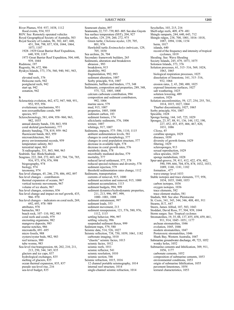River Plumes, 934–937, 1038, 1112 flood events, 934, 935 ROV. See: Remotely operated vehicles Royal Geographical Society of Australia, 503 Royal Society of London, 96, 302, 447, 448, 451, 504, 798, 857, 938, 1044, 1064, 1073, 1187 1928–1929 Great Barrier Reef Expedition, 640, 939, 1187 1973 Great Barrier Reef Expedition, 504, 640, 939, 1044 Rudstone, 197 Rugosity, 96, 672, 906 Ryukyu Islands, 373, 376, 560, 940, 941, 943, 968 elevated reefs, 376 Holocene reefs, 942 postglacial reefs, 942 start up, 942 zonation, 942 S Scleractinia evolution, 462, 672, 947, 948, 951, 952, 955, 956 evolutionary mechanisms, 951 non-zooxanthellate corals, 949 species, 957 Sclerochronology, 581, 694, 958–960, 963, 982, 1035 annual density bands, 330, 863, 958 coral skeletal geochemistry, 777 density banding, 778, 819, 959–962 fluorescent bands, 863, 959 microarchitecture, 961 proxy environmental records, 959 temperature salinity, 863 terrestrial input, 863 X-radiography, 331, 863, 960, 963 Seabirds. See: Birds/Seabirds Seagrass, 222, 268, 272, 603, 667, 704, 736, 785, 916, 973, 974, 976, 998 biogeography, 974 biology, 974 taxonomy, 974 Sea level changes, 45, 246, 270, 486, 492, 897 Sea level changes – contributors thermal expansion of oceans, 967 vertical tectonic movements, 967 volume of ice sheets, 967 Sea level changes, extremes, 836 Sea level change and impact on reef growth, 435, 966–970 Sea level changes – indicators on coral reefs, 269, 692, 693, 978–989 attributes, 978 barnacles, 983 beach rock, 107–110, 982, 983 coral reefs and corals, 979 encrusting organisms, 982 mangrove deposits, 985 marine notches, 986 microatolls, 691–695 micro fossils, 988 oysters/oyster beds, 982, 983 reef terraces, 980 tube worms, 983 Sea-level rise/transgression, 66, 202, 210, 211, 213, 250, 344, 345, 835 glaciers and ice caps, 837 hydrological exchanges, 835 melting of glaciers, 835 ocean thermal expansion, 835, 837 pseudo sea-level rise, 216 sea-level budget, 835

Seamount chains, 897 Seamounts, 22, 737–739, 803–805. See also: Guyots Sea surface temperature (SST), 204, 927 Sea turtles, 129, 259, 260, 272, 975 Green turtle, Chelonia mydas, 129, 705, 801, 976 Hawksbill turtle Ereimochelys imbricate, 129, 705, 1030 Sea urchins, 26, 704 Secondary framework builders, 265 Sediments, alteration and breakdown abrasion , 993 breakdown, 915 durability, 992 fragmentation, 992, 993 sediment alteration, 1007 Sorby principle, 916, 1007 Sediments, bafflers and binders, 175, 348 Sediments, composition and properties, 289, 348, 575, 722, 1005, 1008 calcium carbonate contribution, 994 composition and sediment contributors, 992, 1006 marine snow, 579 mud, 915, 1007 properties, 1005, 1008 sediment carbon, 183 sediment formers, 174 siliciclastic sediments, 576, 1006 texture, 1007 whitings, 917, 1007 Sediments, impacts, 575–586, 1110, 1115 ambient sedimentation levels, 581 changes in coral morphology, 577 changes in coral population structure, 577 decrease in available light, 578 decrease in coral growth rates, 576 metabolic drain, 578 microbially mediated decline, 579 mortality, 577 reduced larval settlement, 577, 578 reduced specied richness and diversity, 578 sediment rejection, 579 threshold sedimentation rates change, 1112 Sediments, transportation currents of removal, 915, 1000 sediment accretion and removal, 915, 1000 sediment accumulation, 1113 sediment budgets, 994, 999 sediment dynamics/hydrodynamic properties, 211, 213, 996, 997, 999, 1000–1001, 1008 sediment entrainment, 997 sediment loads, 353 sediment movement, 213 sediment resuspension, 121, 576, 580, 976, 1112, 1115 settling behavior, 996, 997 settling velocity, 996 suspended sediment fluxes, 999 Sediment traps, 579, 580 Seismic data, 514, 526, 1027 Seismic reflection, 738, 750, 1059, 1061, 1182 carbonate imaging, 1010 "chaotic" seismic facies, 1013 seismic facies, 1012 seismic reefs, 1011 seismic reflector, 541 seismic resolution, 1010 seismic section, 546 Seismic refraction, 1015, 1016 12 channel portable seismography, 1014 internal reef structure, 1014 single-channel seismic refraction, 1014

Seychelles, 103, 215, 216 Shelf-edge reefs, 409, 479–481 Shingle ramparts, 244, 640, 643, 712 Shingle ridges, 238, 700, 1001, 1016–1018, 1087, 1094, 1106, 1154 berm, 1017 islands, 640 record of the frequency and intensity of tropical cyclones, 1019 Shoaling. See: Wave Shoaling Society Islands, 245, 479, 1073, 1075 Solomon Islands, 373, 376 Solution processes, 61, 315–316, 569, 1024, 1063, 1065 biological respiration processes, 1025 dissolution of limestone, 161, 315–316, 932, 1064 erosion rates, 2, 43, 280, 488, 1025 exposed limestone surfaces, 1027 salt weathering, 1025 solution lowering, 489 zonation, 1026 Solution unconformities, 59, 127, 254, 255, 701, 1014, 1015, 1027, 1064 Thurber discontinuity, 1027, 1065 Sorby principle, 916, 1007 Spiculite, 1028 Sponge boring, 144, 145, 725, 1029 Sponges, 23, 87, 88, 91, 136, 144, 152, 190, 227, 452, 453, 455, 466, 467, 820, 1031, 1086 Cliona, 45 coralline sponges, 1029 diseases, 1030 diversity of growth forms, 1029 filtering, 1029 sclerosponges, 913 sexual reproduction, 1029 silica spicules, 1029 sponge metabolism, 1028 Spur-and-groove, 39, 411, 412, 422, 476, 482, 590, 599, 666, 704, 876, 878, 1032, 1033, 1089, 1160, 1181, 1182 formation , 477 wave-energy level 1033 Stable isotopes and trace elements, 777, 958, 1034, 1035, 1040, 1053 carbon isotopes, 1036 oxygen isotopes, 1036 trace elements, 582 trace element studies, 581 Stadials, 968. See also: Pleistocene St. Croix, 341, 343, 344, 346, 408, 481, 911 Stearns, H.T., 647 Steers, James Alfred, 107, 503, 1043 Stoddart, David Ross, 57, 504, 939, 1044 Storm surges. See: Tropical cyclones Stromatolites, 19, 35, 88, 137, 455, 458, 459, 461, 911, 914, 1045–1051, 1177 archean stromatolites, 1046 evolution, 1045, 1046 modern stromatolites, 1047 Proterozoic stromatolites, 1046 Shark Bay, Western Australia, 1047 Submarine groundwater discharge, 49, 723, 1052 wonky holes, 1052 Submarine cements and lithification, 309, 911, 1056, 1177 carbonate cements, 1052 composition of submarine cements, 1053 environmental conditions, 1053 origin of submarine lithification, 1055 pavement limestones, 1054 textural characteristics, 1053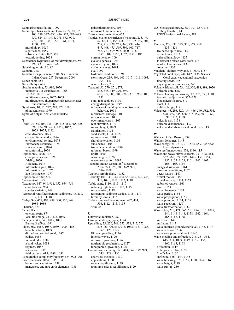Submarine mass failure, 1097 Submerged bank reefs and terraces, 77, 80, 82, 100, 270, 327–330, 476, 527, 683–685, 759, 824, 841, 914, 971, 972, 978, 979, 980, 1038, 1058–1061, 1074, 1160, 1176 morphology, 1059 significance, 1059 subsidence/rates, 897, 898 tectonic setting, 1058 Subsidence hypothesis of reef development, 59, 299, 431, 1062–1066 Subsiding terrain, 80, 82 Sumatra, 348 Sumatran mega-tsunami 2004. See: Tsunami, Indian Ocean 26<sup>th</sup> December, 2004 Sunda shelf, 685 Super-Tethys, 675 Swathe mapping, 73, 980, 1070 interactive 3D visualization, 1068 LIDAR, 1067, 1069 multibeam system, 1067–1069 multifrequency (hyperspectral) acoustic laser transmissions, 1068 Symbiosis, 10, 12, 277, 282, 723, 1190 photosynthesis, 1070 Symbiotic algae. See: Zooxanthellae

#### T

Tahiti, 70–80, 106, 236, 300, 422, 561, 685, 688, 699, 824, 911–914, 1058, 1062, 1073–1075, 1142 coral diversity, 1073 coralgal frameworks, 1074 environmental setting, 1073 Pleistocene sequence, 1074 sea-level curve, 1074 unconformity, 1074 Taphonomy, 1076, 1077 coral preservation, 1076 fidelity, 1076 Holocene, 1077 information gain, 1076 information loss, 1076 late Pleistocene, 1077 Taphonomic filter, 864 Tarawa Atoll, 393 Taxonomy, 947, 948, 951, 952, 954–956 classification, 954 species variation, 949 Terrestrial runoff/terrigenous sediments, 45, 239, 617, 1111–1118 Tethys Sea, 467, 497, 498, 500, 550, 949, 1084–1086 Thailand, 679 Tidal effects on coral reefs, 874 local tide range, 213, 428, 1086 Tidal jets, 545, 548, 1088, 1091 Bernoulli effect, 1091 Tides, 567, 1086, 1087, 1089, 1090, 1155 baraclinic tides, 1089 diurnal and semi-diurnal, 1087 eddies, 1088 internal tides, 1089 island wakes, 1088 regimes, 1087 resonance, 1089 tidal currents, 615, 1088, 1091 Topographic complexity/rugosity, 564, 902–906 Trace elements, 1034, 1035, 1040 barium and cadmium, 1038 manganese and rare earth elements, 1038

palaeothermometry, 1037 ultraviolet luminescence, 1038 Triassic mass extinction, 672 Tropical cyclones/hurricanes/typhoons, 2, 3, 49, 62, 86, 112, 158, 166, 167, 192, 199, 204, 218, 219, 229, 265, 340, 432, 444, 447, 448, 475, 569, 596, 605, 717, 762, 770, 809, 942, 1000, 1016, 1092, 1102, 1155, 1162, 1182, 1186 current velocity, 1094 cyclone genesis, 1093 cyclone regime, 1095 cyclonic waves, 1094 eye, 1092 hydraulic conditions, 1094 storm surge, 219, 604, 605, 1017–1019, 1093, 1094, 1147 wind velocity, 219 Tsunami, 50, 270, 271, 273, 335, 348, 349, 370, 596, 605, 679, 680, 681, 770, 837, 1096–1108, 1155 coral reef ecology, 1100 energy dissipation, 1099 influence of reefal systems on tsunami behavior, 1098 mechanical damage, 1100 mega-tsunami, 1100 overturned corals, 1103 reef elevation, 1104 run-up height, 1099 salinization, 1104 sand sheets, 1104, 1105 sedimentation, 1101 shoreline erosion, 1104 subsidence, 1104 tsunami generation, 1096 turbulent bores, 1099 uplift, 1100 wave lengths, 1097 wave propagation, 1097 Tsunami, Indian Ocean, 26th December, 2004, 273, 596, 609, 679, 975, 1096–1108 Tuamoto Archipelago, 48, 52 Turbidity, 101, 343, 344, 434, 581, 610, 722, 726, 935, 1081, 1111, 1112, 1118 Turbid-zone, 1110, 1113–1117 reducing light levels, 1112, 1115 resuspension, 1118 terrigenous sediment wedge, 1116, 1117 turbidity levels, 1115 Turbid-zone reef development, 432, 434, 598, 1112, 1113, 1115 Tuvalu, 48

### $\mathbf{H}$

Ultraviolet radiation, 289 Unvegetated cays, types, 1124 Upwelling, 25, 226, 349, 352, 538, 545, 575, 595706, 720, 831, 913, 1038, 1081, 1088, 1092, 1125, 1127 Ekman upwelling, 1126 internal waves, 1126 intrusive upwelling, 1126 nutrient biogeochemistry, 1127 topographic upwelling, 1126 Uranium-series dating, 371, 404, 562, 779, 979, 1035, 1128–1130 analytical methods, 1130 applications, 1130 secular equilibrium, 1129 uranium series disequilibrium, 1129

U.S. Geological Survey, 384, 701, 857, 1137 drilling Funafuti, 447 USGS Professional Papers, 384 V Vanuatu, 328, 331, 373, 376, 824, 968, 1133–1136 Holocene uplift rate, 1133 neotectonics, 1133 palaeoclimatology, 1135 Pleistocene raised coral reefs, 376 sea-level variations, 1133 zonation, 1133 Vaughan, Thomas Wayland, 41, 679, 1137 Vegetated coral cays, 244, 642, 1138. See also: Coral cays, vegetational succession floating seeds, 245 physiognomic similarities, 245 Volcanic islands, 51, 53, 102, 300, 488, 898, 1020 volcanic core, 648 Volcanic loading and isostasy, 82, 373, 633, 1140 isostatic readjustment, 377–378 lithospheric flexure, 377 moat, 1141 uplifted bulge, 1141 Volcanoes, 45, 298, 327, 434, 486, 549, 582, 594, 598, 599, 645, 668, 737, 757, 803, 1062, 1097, 1133, 1138 volcanic ash, 1138 volcanic disturbances, 1139 volcanic disturbances and coral reefs, 1138 W Wallace, Alfred Russell, 334 Walther, Johannes, 1143 Wave energy, 211, 214, 217, 564, 659. See also: Hydrodynamics Wave-reef interactions, 876, 1146, 1154 Waves and wave-driven currents, 237, 428, 564, 567, 568, 874, 999, 1147–1150, 1154, 1155, 1157–1159, 1161, 1162, 1163, 1165–1168, 1169 energy dissipation, 1161 monsoon conditions, 1162 ocean waves, 1147 orbital motion, 1156 orbital velocity, 1154, 1163 reformed waves, 1161 swell, 1154 wave frequency, 1154 wave period, 1154 wave propogation, 1155 wave pumping, 1164, 1165 wave spectrum, 1159 wave transformation, 1160 Wave setup, 216, 471, 566, 613, 874, 1017, 1087, 1144, 1146–1148, 1158, 1162, 1164, 1165, 1167, 1168 surf beat, 1147 surf zone, 1145 wave induced groundwater level, 1145, 1147 wave set down, 566 wave set-up on coral reefs, 1146 Wave shoaling and refraction, 216, 237, 564, 615, 874, 1099, 1149–1153, 1156, 1160, 1163, 1168 diffraction, 1149 orthogonals, 1149, 1150 Snell's law, 1150 surf zone, 566, 1144, 1145 wave breaking, 878, 1157, 1158, 1164, 1168 wave height, 1149 wave run-up, 250